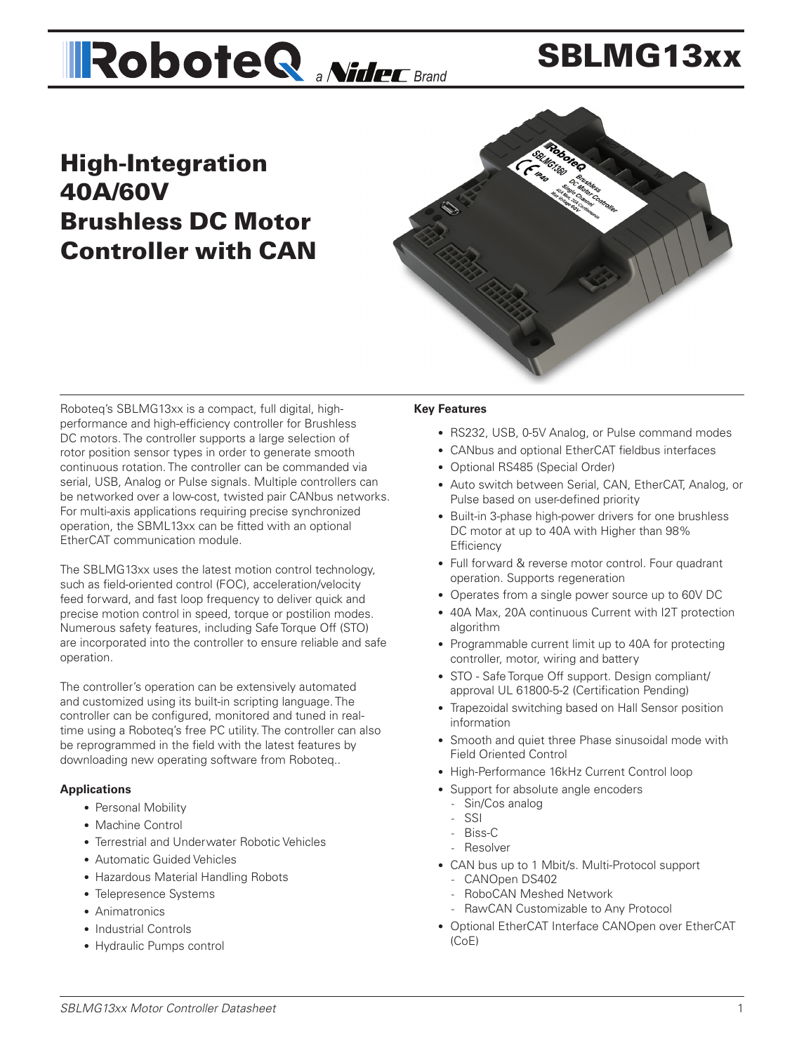# **All Robote Q** *a Nider* Brand

## SBLMG13xx

## High-Integration 40A/60V Brushless DC Motor Controller with CAN



Roboteq's SBLMG13xx is a compact, full digital, highperformance and high-efficiency controller for Brushless DC motors. The controller supports a large selection of rotor position sensor types in order to generate smooth continuous rotation. The controller can be commanded via serial, USB, Analog or Pulse signals. Multiple controllers can be networked over a low-cost, twisted pair CANbus networks. For multi-axis applications requiring precise synchronized operation, the SBML13xx can be fitted with an optional EtherCAT communication module.

The SBLMG13xx uses the latest motion control technology, such as field-oriented control (FOC), acceleration/velocity feed forward, and fast loop frequency to deliver quick and precise motion control in speed, torque or postilion modes. Numerous safety features, including Safe Torque Off (STO) are incorporated into the controller to ensure reliable and safe operation.

The controller's operation can be extensively automated and customized using its built-in scripting language. The controller can be configured, monitored and tuned in realtime using a Roboteq's free PC utility. The controller can also be reprogrammed in the field with the latest features by downloading new operating software from Roboteq..

#### **Applications**

- Personal Mobility
- Machine Control
- Terrestrial and Underwater Robotic Vehicles
- Automatic Guided Vehicles
- Hazardous Material Handling Robots
- Telepresence Systems
- Animatronics
- Industrial Controls
- Hydraulic Pumps control

#### **Key Features**

- RS232, USB, 0-5V Analog, or Pulse command modes
- CANbus and optional EtherCAT fieldbus interfaces
- Optional RS485 (Special Order)
- Auto switch between Serial, CAN, EtherCAT, Analog, or Pulse based on user-defined priority
- Built-in 3-phase high-power drivers for one brushless DC motor at up to 40A with Higher than 98% **Efficiency**
- Full forward & reverse motor control. Four quadrant operation. Supports regeneration
- Operates from a single power source up to 60V DC
- 40A Max, 20A continuous Current with I2T protection algorithm
- Programmable current limit up to 40A for protecting controller, motor, wiring and battery
- STO Safe Torque Off support. Design compliant/ approval UL 61800-5-2 (Certification Pending)
- Trapezoidal switching based on Hall Sensor position information
- Smooth and quiet three Phase sinusoidal mode with Field Oriented Control
- High-Performance 16kHz Current Control loop
- Support for absolute angle encoders
	- Sin/Cos analog
	- SSI
	- Biss-C
	- Resolver
- CAN bus up to 1 Mbit/s. Multi-Protocol support
	- CANOpen DS402
	- RoboCAN Meshed Network
	- RawCAN Customizable to Any Protocol
- Optional EtherCAT Interface CANOpen over EtherCAT (CoE)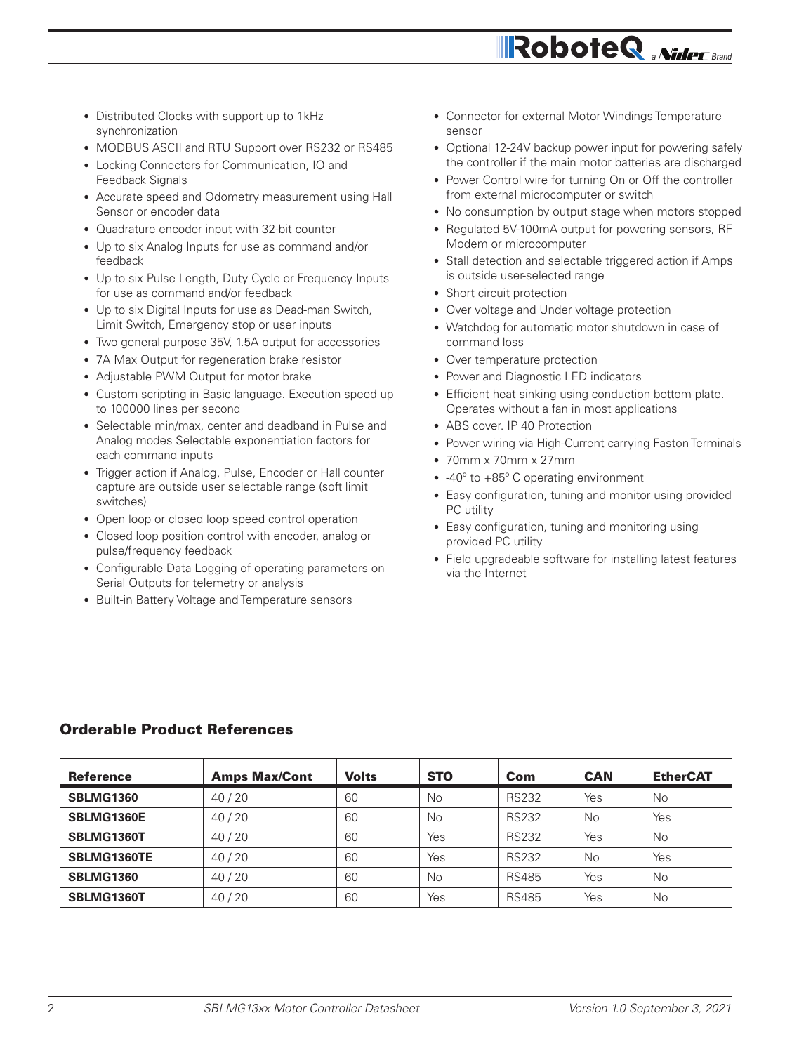- Distributed Clocks with support up to 1kHz synchronization
- MODBUS ASCII and RTU Support over RS232 or RS485
- Locking Connectors for Communication, IO and Feedback Signals
- Accurate speed and Odometry measurement using Hall Sensor or encoder data
- Quadrature encoder input with 32-bit counter
- Up to six Analog Inputs for use as command and/or feedback
- Up to six Pulse Length, Duty Cycle or Frequency Inputs for use as command and/or feedback
- Up to six Digital Inputs for use as Dead-man Switch, Limit Switch, Emergency stop or user inputs
- Two general purpose 35V, 1.5A output for accessories
- 7A Max Output for regeneration brake resistor
- Adjustable PWM Output for motor brake
- Custom scripting in Basic language. Execution speed up to 100000 lines per second
- Selectable min/max, center and deadband in Pulse and Analog modes Selectable exponentiation factors for each command inputs
- Trigger action if Analog, Pulse, Encoder or Hall counter capture are outside user selectable range (soft limit switches)
- Open loop or closed loop speed control operation
- Closed loop position control with encoder, analog or pulse/frequency feedback
- Configurable Data Logging of operating parameters on Serial Outputs for telemetry or analysis
- Built-in Battery Voltage and Temperature sensors
- Connector for external Motor Windings Temperature sensor
- Optional 12-24V backup power input for powering safely the controller if the main motor batteries are discharged

- Power Control wire for turning On or Off the controller from external microcomputer or switch
- No consumption by output stage when motors stopped
- Regulated 5V-100mA output for powering sensors, RF Modem or microcomputer
- Stall detection and selectable triggered action if Amps is outside user-selected range
- Short circuit protection
- Over voltage and Under voltage protection
- Watchdog for automatic motor shutdown in case of command loss
- Over temperature protection
- Power and Diagnostic LED indicators
- Efficient heat sinking using conduction bottom plate. Operates without a fan in most applications
- ABS cover. IP 40 Protection
- Power wiring via High-Current carrying Faston Terminals
- 70mm x 70mm x 27mm
- -40° to +85° C operating environment
- Easy configuration, tuning and monitor using provided PC utility
- Easy configuration, tuning and monitoring using provided PC utility
- Field upgradeable software for installing latest features via the Internet

#### Orderable Product References

| <b>Reference</b> | <b>Amps Max/Cont</b> | <b>Volts</b> | <b>STO</b> | Com          | <b>CAN</b> | <b>EtherCAT</b> |
|------------------|----------------------|--------------|------------|--------------|------------|-----------------|
| <b>SBLMG1360</b> | 40/20                | 60           | <b>No</b>  | <b>RS232</b> | Yes        | No              |
| SBLMG1360E       | 40/20                | 60           | <b>No</b>  | <b>RS232</b> | No         | Yes             |
| SBLMG1360T       | 40/20                | 60           | Yes        | <b>RS232</b> | Yes        | <b>No</b>       |
| SBLMG1360TE      | 40/20                | 60           | Yes        | <b>RS232</b> | No         | Yes             |
| <b>SBLMG1360</b> | 40/20                | 60           | <b>No</b>  | <b>RS485</b> | Yes        | <b>No</b>       |
| SBLMG1360T       | 40/20                | 60           | Yes        | <b>RS485</b> | Yes        | No              |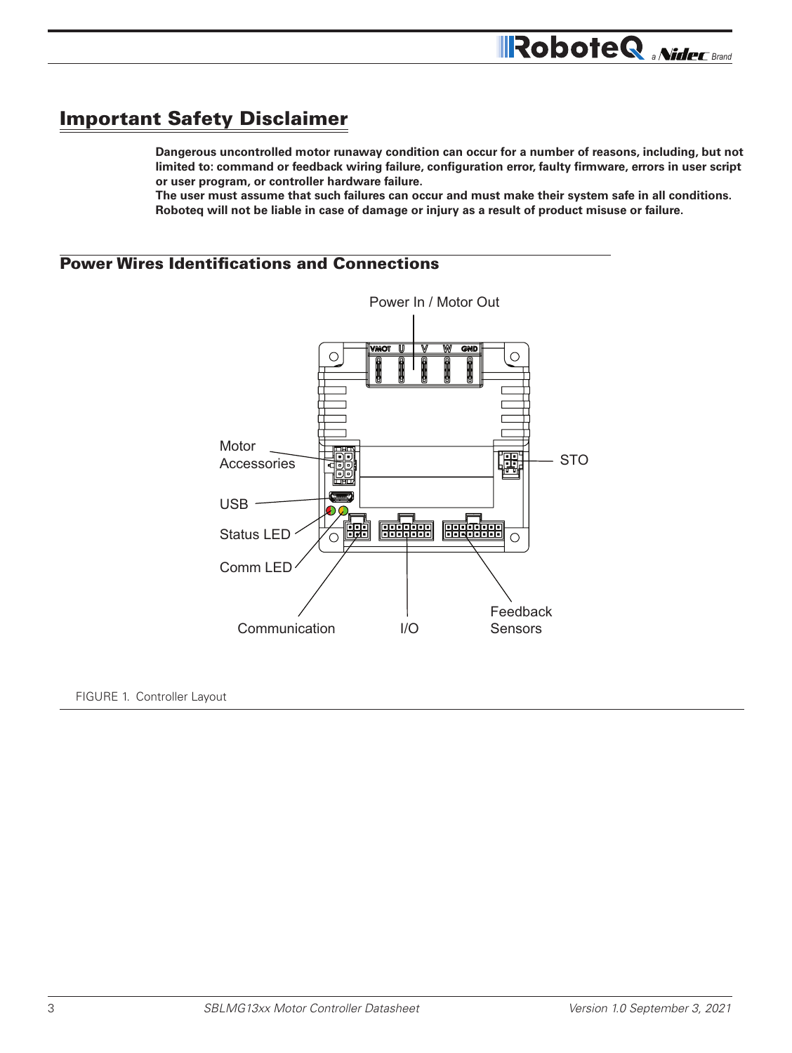## Important Safety Disclaimer

**Dangerous uncontrolled motor runaway condition can occur for a number of reasons, including, but not limited to: command or feedback wiring failure, configuration error, faulty firmware, errors in user script or user program, or controller hardware failure.** 

**RoboteQ** *aNidec* Brand

**The user must assume that such failures can occur and must make their system safe in all conditions. Roboteq will not be liable in case of damage or injury as a result of product misuse or failure.**

## Power Wires Identifications and Connections



#### FIGURE 1. Controller Layout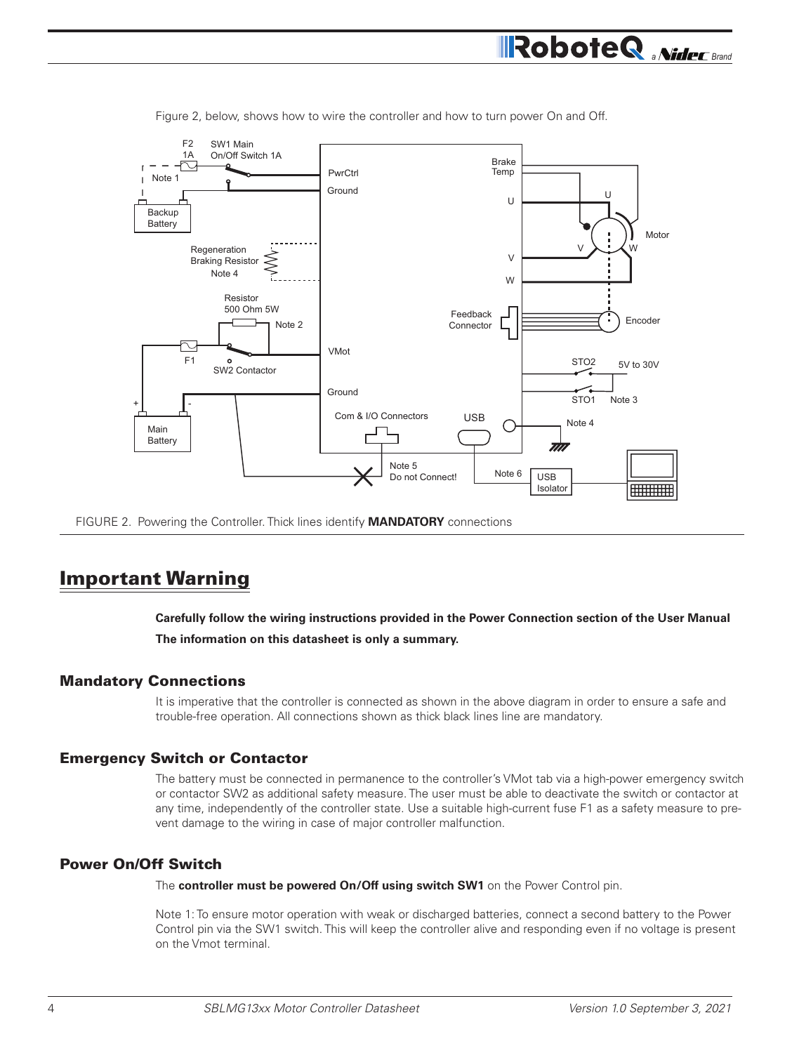

Figure 2, below, shows how to wire the controller and how to turn power On and Off.

FIGURE 2. Powering the Controller. Thick lines identify **MANDATORY** connections

## Important Warning

**Carefully follow the wiring instructions provided in the Power Connection section of the User Manual The information on this datasheet is only a summary.**

#### Mandatory Connections

It is imperative that the controller is connected as shown in the above diagram in order to ensure a safe and trouble-free operation. All connections shown as thick black lines line are mandatory.

#### Emergency Switch or Contactor

The battery must be connected in permanence to the controller's VMot tab via a high-power emergency switch or contactor SW2 as additional safety measure. The user must be able to deactivate the switch or contactor at any time, independently of the controller state. Use a suitable high-current fuse F1 as a safety measure to prevent damage to the wiring in case of major controller malfunction.

#### Power On/Off Switch

The **controller must be powered On/Off using switch SW1** on the Power Control pin.

Note 1: To ensure motor operation with weak or discharged batteries, connect a second battery to the Power Control pin via the SW1 switch. This will keep the controller alive and responding even if no voltage is present on the Vmot terminal.

**RoboteQ** *aNideC* Brand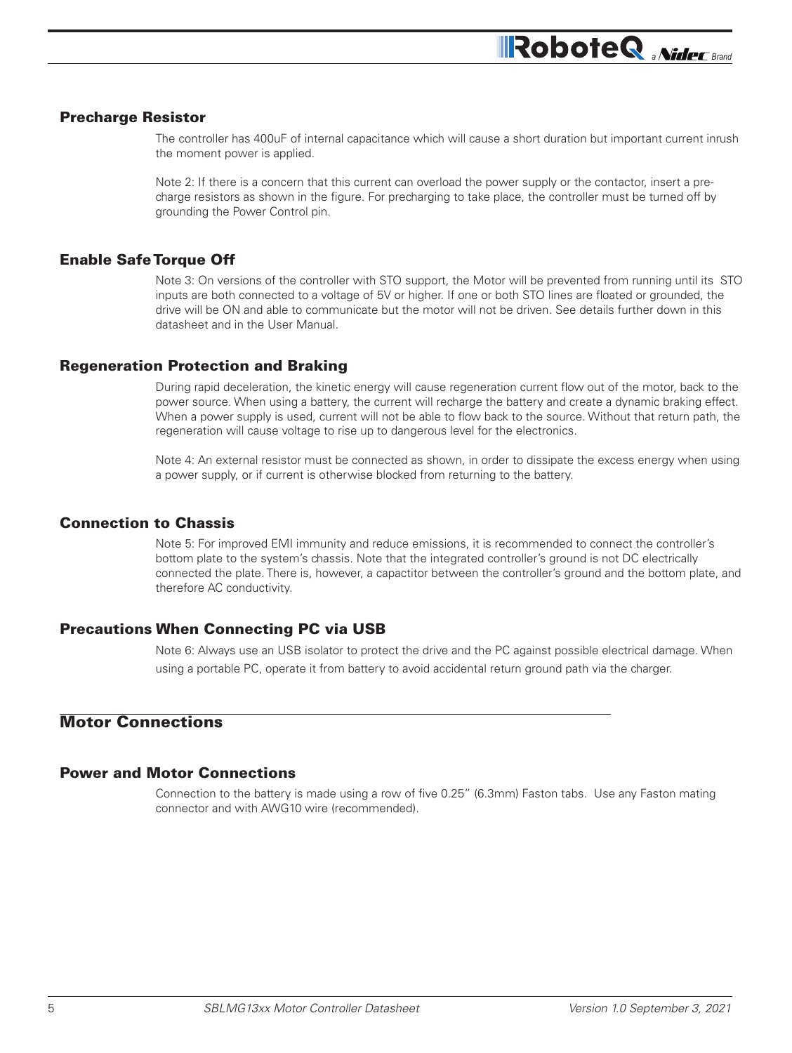#### Precharge Resistor

The controller has 400uF of internal capacitance which will cause a short duration but important current inrush the moment power is applied.

Note 2: If there is a concern that this current can overload the power supply or the contactor, insert a precharge resistors as shown in the figure. For precharging to take place, the controller must be turned off by grounding the Power Control pin.

#### Enable Safe Torque Off

Note 3: On versions of the controller with STO support, the Motor will be prevented from running until its STO inputs are both connected to a voltage of 5V or higher. If one or both STO lines are floated or grounded, the drive will be ON and able to communicate but the motor will not be driven. See details further down in this datasheet and in the User Manual.

#### Regeneration Protection and Braking

During rapid deceleration, the kinetic energy will cause regeneration current flow out of the motor, back to the power source. When using a battery, the current will recharge the battery and create a dynamic braking effect. When a power supply is used, current will not be able to flow back to the source. Without that return path, the regeneration will cause voltage to rise up to dangerous level for the electronics.

Note 4: An external resistor must be connected as shown, in order to dissipate the excess energy when using a power supply, or if current is otherwise blocked from returning to the battery.

#### Connection to Chassis

Note 5: For improved EMI immunity and reduce emissions, it is recommended to connect the controller's bottom plate to the system's chassis. Note that the integrated controller's ground is not DC electrically connected the plate. There is, however, a capactitor between the controller's ground and the bottom plate, and therefore AC conductivity.

#### Precautions When Connecting PC via USB

Note 6: Always use an USB isolator to protect the drive and the PC against possible electrical damage. When using a portable PC, operate it from battery to avoid accidental return ground path via the charger.

## Motor Connections

#### Power and Motor Connections

Connection to the battery is made using a row of five 0.25" (6.3mm) Faston tabs. Use any Faston mating connector and with AWG10 wire (recommended).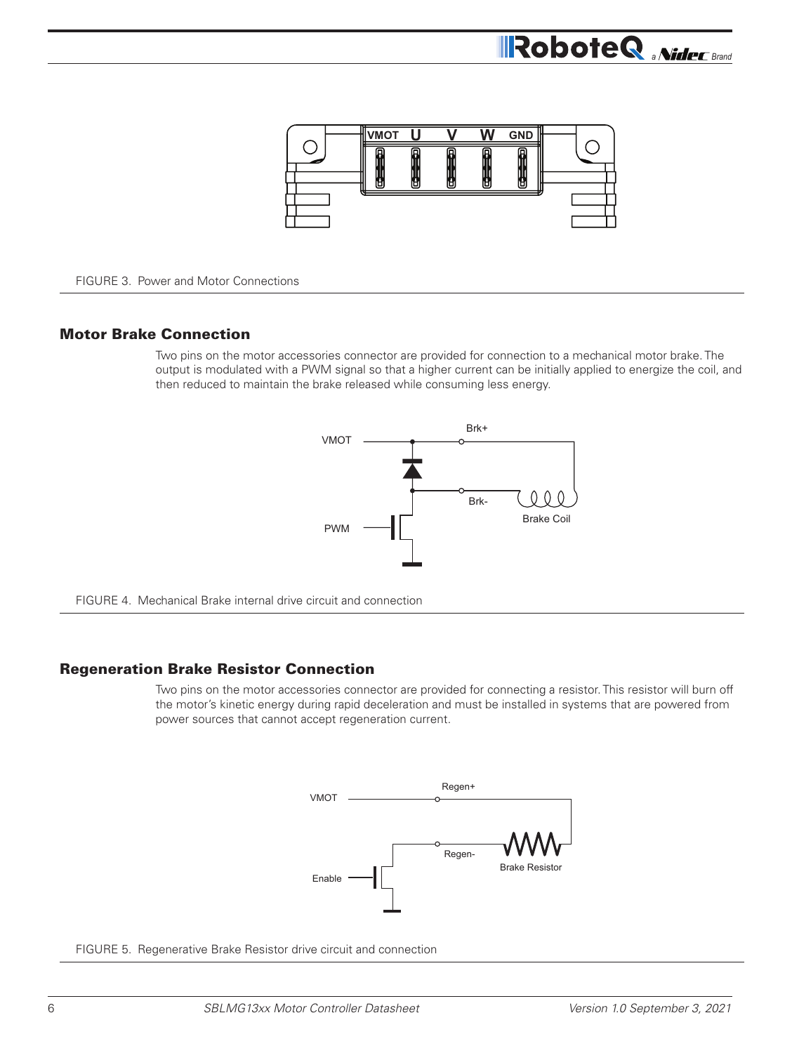

FIGURE 3. Power and Motor Connections

#### Motor Brake Connection

Two pins on the motor accessories connector are provided for connection to a mechanical motor brake. The output is modulated with a PWM signal so that a higher current can be initially applied to energize the coil, and then reduced to maintain the brake released while consuming less energy.





#### Regeneration Brake Resistor Connection

Two pins on the motor accessories connector are provided for connecting a resistor. This resistor will burn off the motor's kinetic energy during rapid deceleration and must be installed in systems that are powered from power sources that cannot accept regeneration current.



FIGURE 5. Regenerative Brake Resistor drive circuit and connection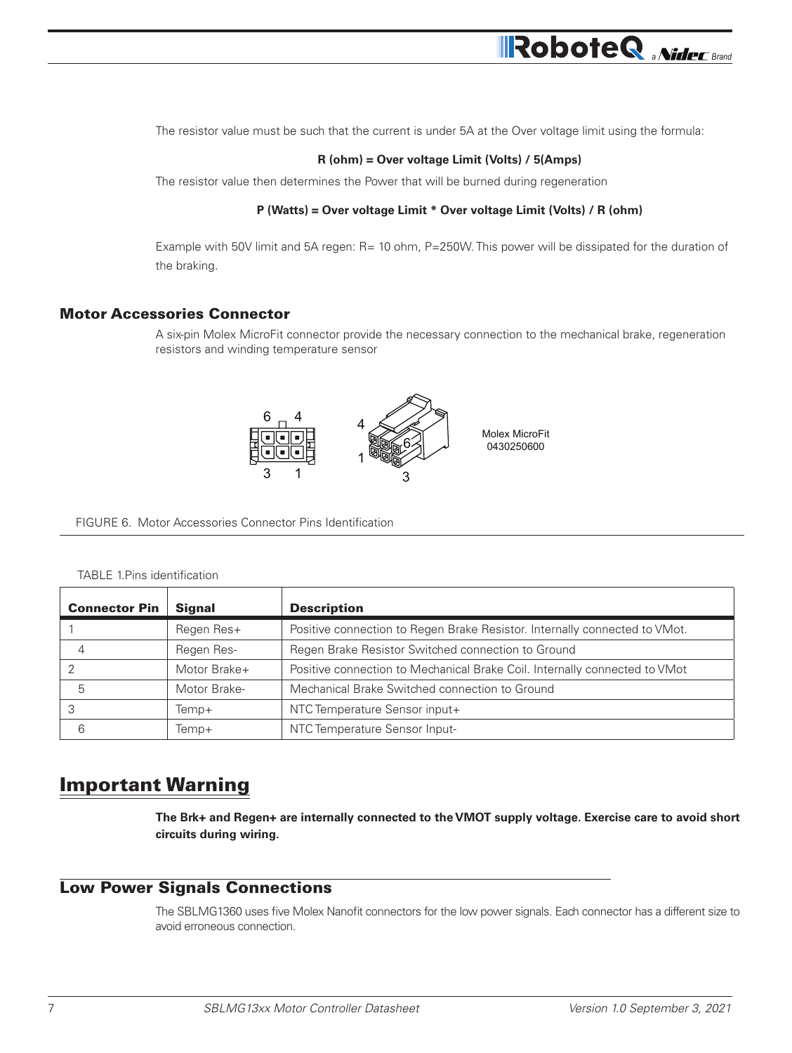The resistor value must be such that the current is under 5A at the Over voltage limit using the formula:

#### **R (ohm) = Over voltage Limit (Volts) / 5(Amps)**

The resistor value then determines the Power that will be burned during regeneration

#### **P (Watts) = Over voltage Limit \* Over voltage Limit (Volts) / R (ohm)**

Example with 50V limit and 5A regen: R= 10 ohm, P=250W. This power will be dissipated for the duration of the braking.

#### Motor Accessories Connector

A six-pin Molex MicroFit connector provide the necessary connection to the mechanical brake, regeneration resistors and winding temperature sensor



FIGURE 6. Motor Accessories Connector Pins Identification

#### TABLE 1.Pins identification

| <b>Connector Pin</b> | <b>Signal</b> | <b>Description</b>                                                         |
|----------------------|---------------|----------------------------------------------------------------------------|
|                      | Regen Res+    | Positive connection to Regen Brake Resistor. Internally connected to VMot. |
| 4                    | Regen Res-    | Regen Brake Resistor Switched connection to Ground                         |
|                      | Motor Brake+  | Positive connection to Mechanical Brake Coil. Internally connected to VMot |
| 5                    | Motor Brake-  | Mechanical Brake Switched connection to Ground                             |
|                      | Temp+         | NTC Temperature Sensor input+                                              |
| 6                    | Temp+         | NTC Temperature Sensor Input-                                              |

## Important Warning

**The Brk+ and Regen+ are internally connected to the VMOT supply voltage. Exercise care to avoid short circuits during wiring.**

#### Low Power Signals Connections

The SBLMG1360 uses five Molex Nanofit connectors for the low power signals. Each connector has a different size to avoid erroneous connection.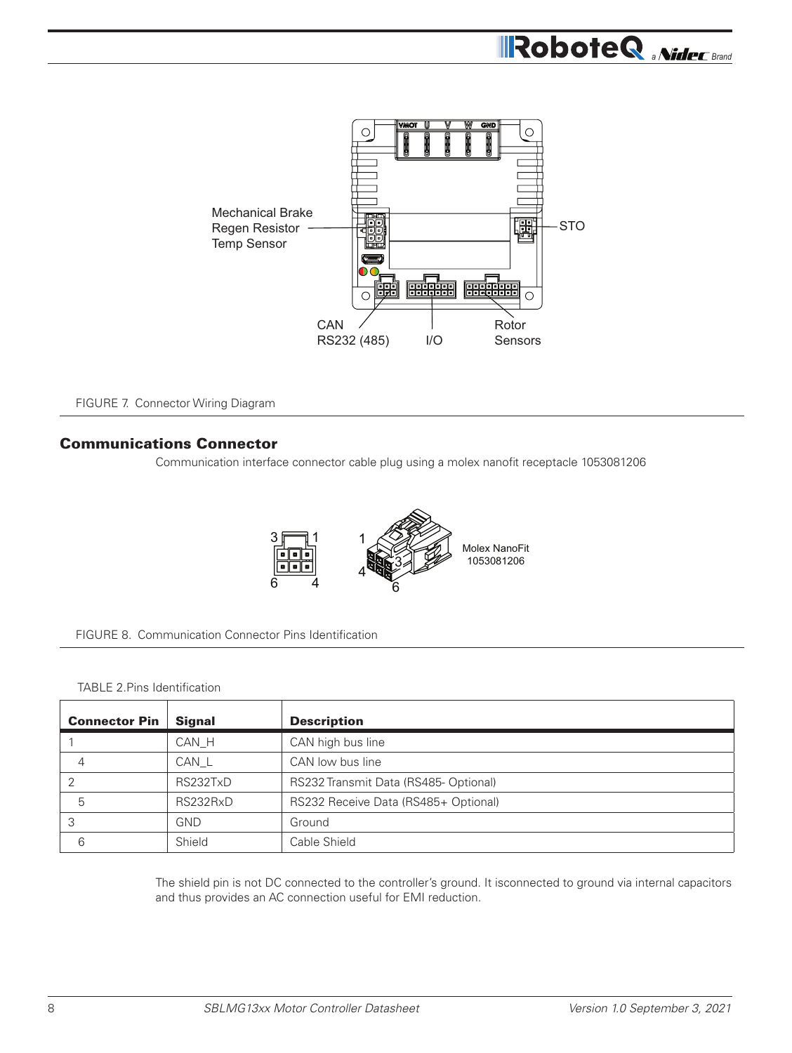

FIGURE 7. Connector Wiring Diagram

#### Communications Connector

Communication interface connector cable plug using a molex nanofit receptacle 1053081206





#### TABLE 2.Pins Identification

| <b>Connector Pin</b> | <b>Signal</b> | <b>Description</b>                   |
|----------------------|---------------|--------------------------------------|
|                      | CAN_H         | CAN high bus line                    |
| 4                    | CAN_L         | CAN low bus line                     |
| 2                    | RS232TxD      | RS232 Transmit Data (RS485-Optional) |
| 5                    | RS232RxD      | RS232 Receive Data (RS485+ Optional) |
| 3                    | <b>GND</b>    | Ground                               |
| 6                    | Shield        | Cable Shield                         |

The shield pin is not DC connected to the controller's ground. It isconnected to ground via internal capacitors and thus provides an AC connection useful for EMI reduction.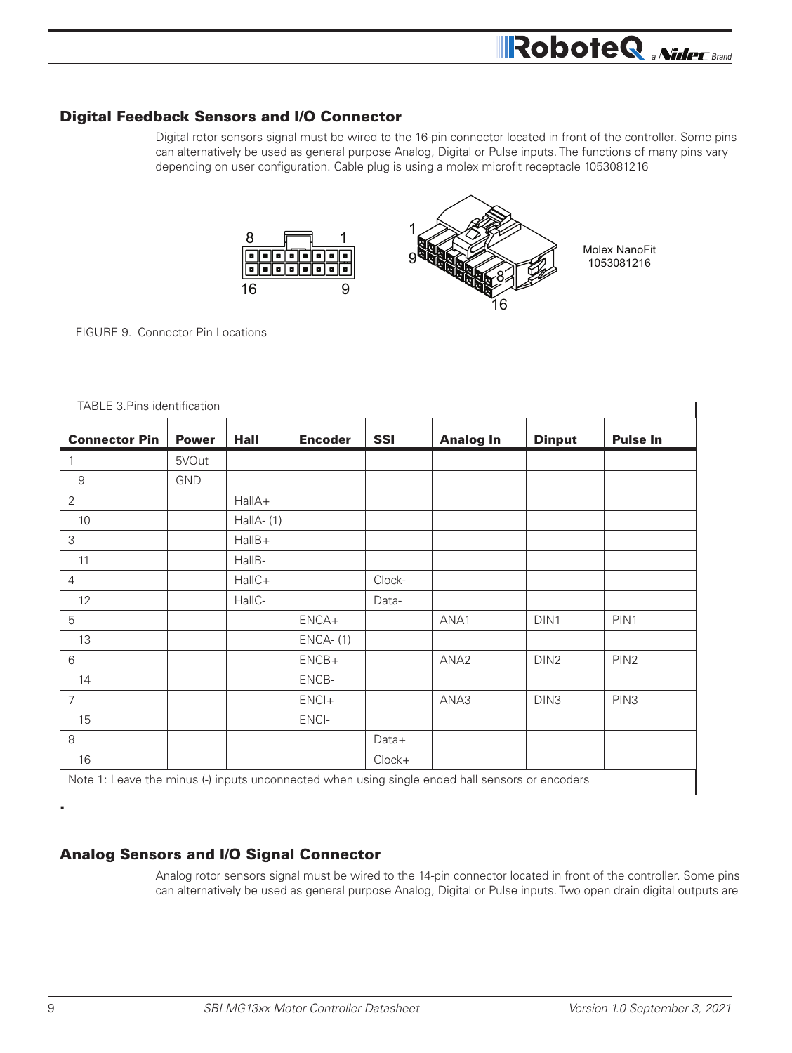#### Digital Feedback Sensors and I/O Connector

Digital rotor sensors signal must be wired to the 16-pin connector located in front of the controller. Some pins can alternatively be used as general purpose Analog, Digital or Pulse inputs. The functions of many pins vary depending on user configuration. Cable plug is using a molex microfit receptacle 1053081216



FIGURE 9. Connector Pin Locations

| TABLE 3 PINS Identification                                                                     |              |              |                |            |                  |                  |                  |
|-------------------------------------------------------------------------------------------------|--------------|--------------|----------------|------------|------------------|------------------|------------------|
| <b>Connector Pin</b>                                                                            | <b>Power</b> | <b>Hall</b>  | <b>Encoder</b> | <b>SSI</b> | <b>Analog In</b> | <b>Dinput</b>    | <b>Pulse In</b>  |
| $\mathbf{1}$                                                                                    | 5VOut        |              |                |            |                  |                  |                  |
| 9                                                                                               | <b>GND</b>   |              |                |            |                  |                  |                  |
| $\overline{2}$                                                                                  |              | HallA+       |                |            |                  |                  |                  |
| 10                                                                                              |              | HallA- $(1)$ |                |            |                  |                  |                  |
| 3                                                                                               |              | HallB+       |                |            |                  |                  |                  |
| 11                                                                                              |              | HallB-       |                |            |                  |                  |                  |
| $\overline{4}$                                                                                  |              | HallC+       |                | Clock-     |                  |                  |                  |
| 12                                                                                              |              | HallC-       |                | Data-      |                  |                  |                  |
| 5                                                                                               |              |              | ENCA+          |            | ANA1             | DIN <sub>1</sub> | PIN1             |
| 13                                                                                              |              |              | $ENCA- (1)$    |            |                  |                  |                  |
| 6                                                                                               |              |              | $ENCB+$        |            | ANA <sub>2</sub> | DIN <sub>2</sub> | PIN <sub>2</sub> |
| 14                                                                                              |              |              | ENCB-          |            |                  |                  |                  |
| $\overline{7}$                                                                                  |              |              | $ENCI+$        |            | ANA3             | DIN <sub>3</sub> | PIN <sub>3</sub> |
| 15                                                                                              |              |              | ENCI-          |            |                  |                  |                  |
| 8                                                                                               |              |              |                | Data+      |                  |                  |                  |
| 16                                                                                              |              |              |                | $Clock+$   |                  |                  |                  |
| Note 1: Leave the minus (-) inputs unconnected when using single ended hall sensors or encoders |              |              |                |            |                  |                  |                  |

#### $T$ ABLE  $2.8$ Pins identification

## Analog Sensors and I/O Signal Connector

Analog rotor sensors signal must be wired to the 14-pin connector located in front of the controller. Some pins can alternatively be used as general purpose Analog, Digital or Pulse inputs. Two open drain digital outputs are

.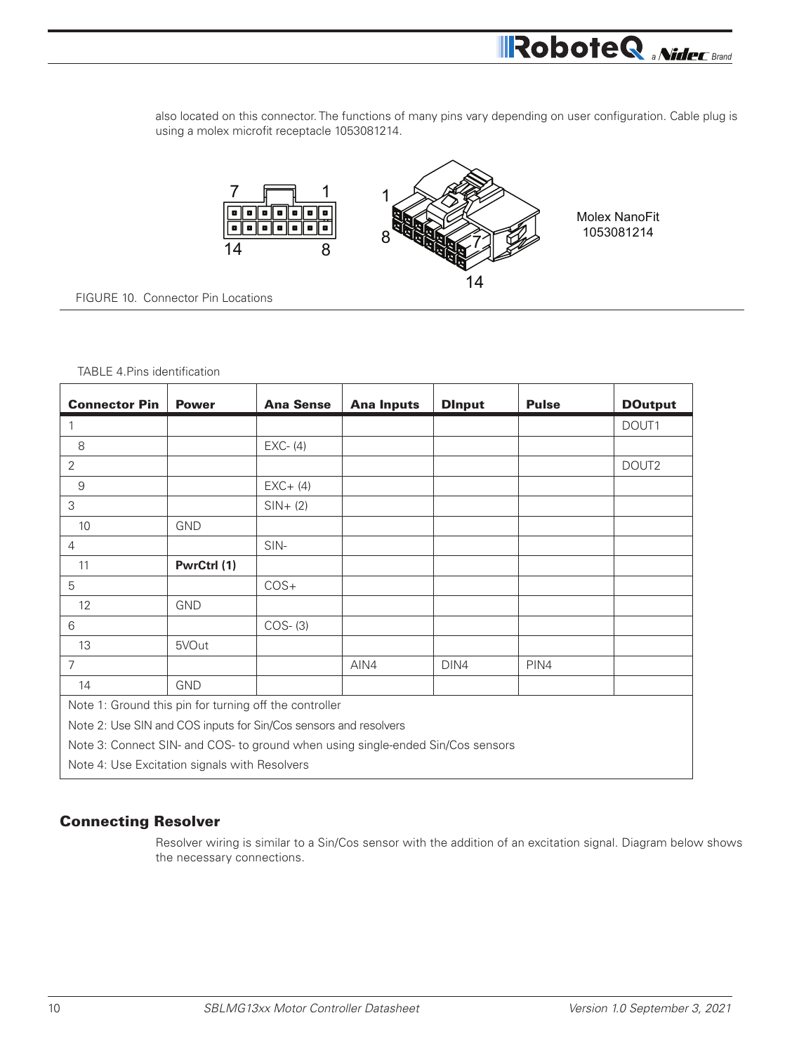also located on this connector. The functions of many pins vary depending on user configuration. Cable plug is using a molex microfit receptacle 1053081214.

**A** *RoboteQ MideC Brand* 



FIGURE 10. Connector Pin Locations

#### TABLE 4.Pins identification

| <b>Connector Pin</b>                                                            | <b>Power</b> | <b>Ana Sense</b> | <b>Ana Inputs</b> | <b>Dinput</b> | <b>Pulse</b> | <b>DOutput</b>    |
|---------------------------------------------------------------------------------|--------------|------------------|-------------------|---------------|--------------|-------------------|
| 1                                                                               |              |                  |                   |               |              | DOUT1             |
| 8                                                                               |              | $EXC- (4)$       |                   |               |              |                   |
| $\overline{2}$                                                                  |              |                  |                   |               |              | DOUT <sub>2</sub> |
| $9\,$                                                                           |              | $EXC+ (4)$       |                   |               |              |                   |
| 3                                                                               |              | $SIN+ (2)$       |                   |               |              |                   |
| 10                                                                              | <b>GND</b>   |                  |                   |               |              |                   |
| $\overline{4}$                                                                  |              | SIN-             |                   |               |              |                   |
| 11                                                                              | PwrCtrl (1)  |                  |                   |               |              |                   |
| 5                                                                               |              | $COS+$           |                   |               |              |                   |
| $12 \overline{ }$                                                               | <b>GND</b>   |                  |                   |               |              |                   |
| 6                                                                               |              | $COS-$ (3)       |                   |               |              |                   |
| 13                                                                              | 5VOut        |                  |                   |               |              |                   |
| $\overline{7}$                                                                  |              |                  | AIN4              | DIN4          | PIN4         |                   |
| 14                                                                              | <b>GND</b>   |                  |                   |               |              |                   |
| Note 1: Ground this pin for turning off the controller                          |              |                  |                   |               |              |                   |
| Note 2: Use SIN and COS inputs for Sin/Cos sensors and resolvers                |              |                  |                   |               |              |                   |
| Note 3: Connect SIN- and COS- to ground when using single-ended Sin/Cos sensors |              |                  |                   |               |              |                   |
| Note 4: Use Excitation signals with Resolvers                                   |              |                  |                   |               |              |                   |

#### Connecting Resolver

Resolver wiring is similar to a Sin/Cos sensor with the addition of an excitation signal. Diagram below shows the necessary connections.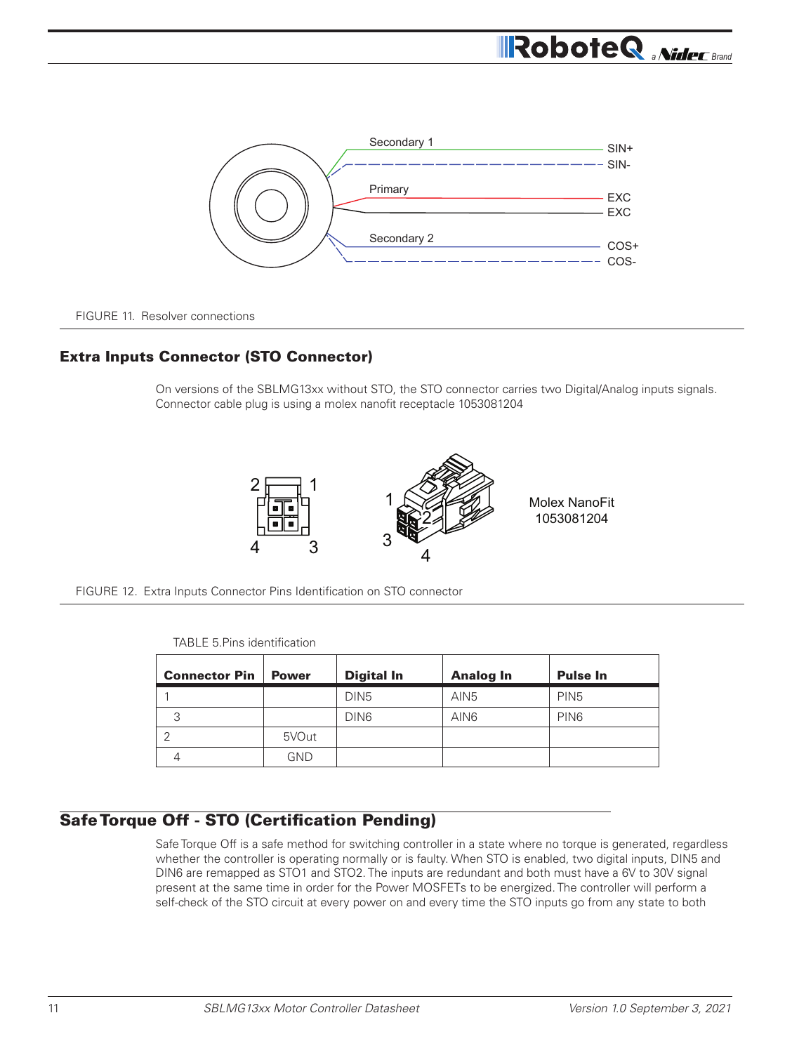

FIGURE 11. Resolver connections

#### Extra Inputs Connector (STO Connector)

On versions of the SBLMG13xx without STO, the STO connector carries two Digital/Analog inputs signals. Connector cable plug is using a molex nanofit receptacle 1053081204



FIGURE 12. Extra Inputs Connector Pins Identification on STO connector

| <b>Connector Pin</b> | <b>Power</b> | <b>Digital In</b> | <b>Analog In</b> | <b>Pulse In</b>  |
|----------------------|--------------|-------------------|------------------|------------------|
|                      |              | DIN <sub>5</sub>  | AIN <sub>5</sub> | PIN <sub>5</sub> |
| 3                    |              | DIN <sub>6</sub>  | AIN <sub>6</sub> | PIN <sub>6</sub> |
| ◠                    | 5VOut        |                   |                  |                  |
|                      | GND          |                   |                  |                  |

TABLE 5.Pins identification

## Safe Torque Off - STO (Certification Pending)

Safe Torque Off is a safe method for switching controller in a state where no torque is generated, regardless whether the controller is operating normally or is faulty. When STO is enabled, two digital inputs, DIN5 and DIN6 are remapped as STO1 and STO2. The inputs are redundant and both must have a 6V to 30V signal present at the same time in order for the Power MOSFETs to be energized. The controller will perform a self-check of the STO circuit at every power on and every time the STO inputs go from any state to both

**RoboteQ** *aNideC* Brand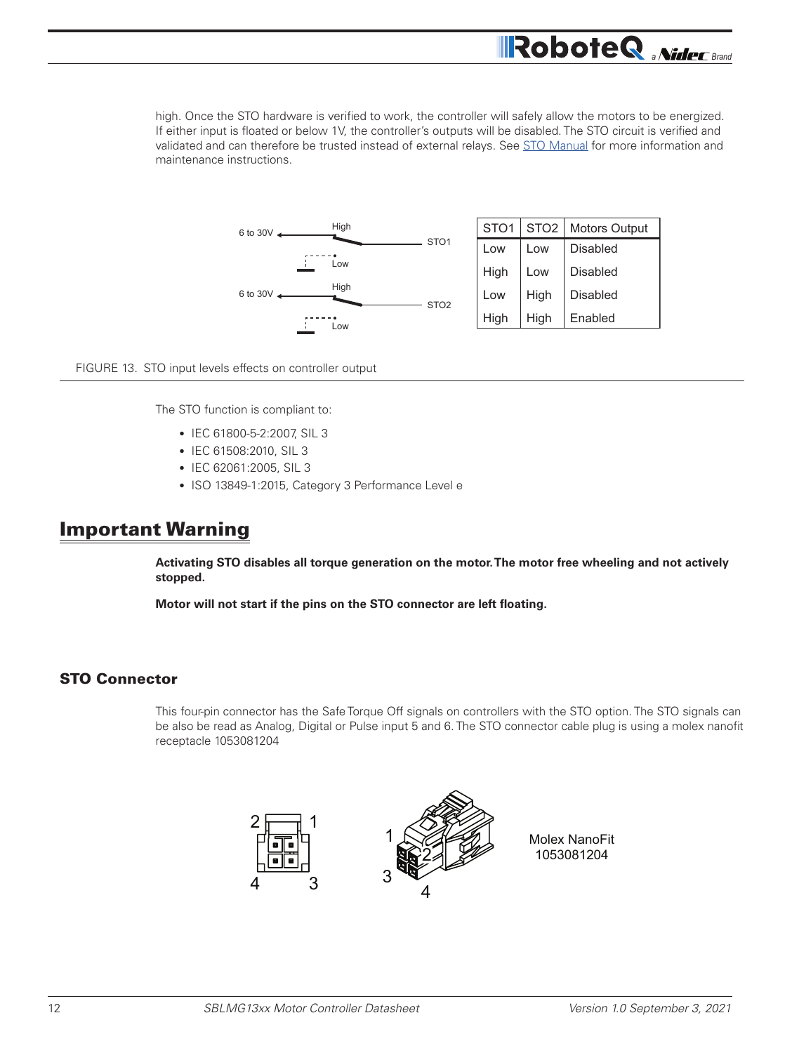high. Once the STO hardware is verified to work, the controller will safely allow the motors to be energized. If either input is floated or below 1V, the controller's outputs will be disabled. The STO circuit is verified and validated and can therefore be trusted instead of external relays. See STO Manual for more information and maintenance instructions.

**RoboteQ** *aNidec* Brand



FIGURE 13. STO input levels effects on controller output

The STO function is compliant to:

- IEC 61800-5-2:2007, SIL 3
- IEC 61508:2010, SIL 3
- IEC 62061:2005, SIL 3
- ISO 13849-1:2015, Category 3 Performance Level e

## Important Warning

**Activating STO disables all torque generation on the motor. The motor free wheeling and not actively stopped.**

**Motor will not start if the pins on the STO connector are left floating.**

#### STO Connector

This four-pin connector has the Safe Torque Off signals on controllers with the STO option. The STO signals can be also be read as Analog, Digital or Pulse input 5 and 6. The STO connector cable plug is using a molex nanofit receptacle 1053081204

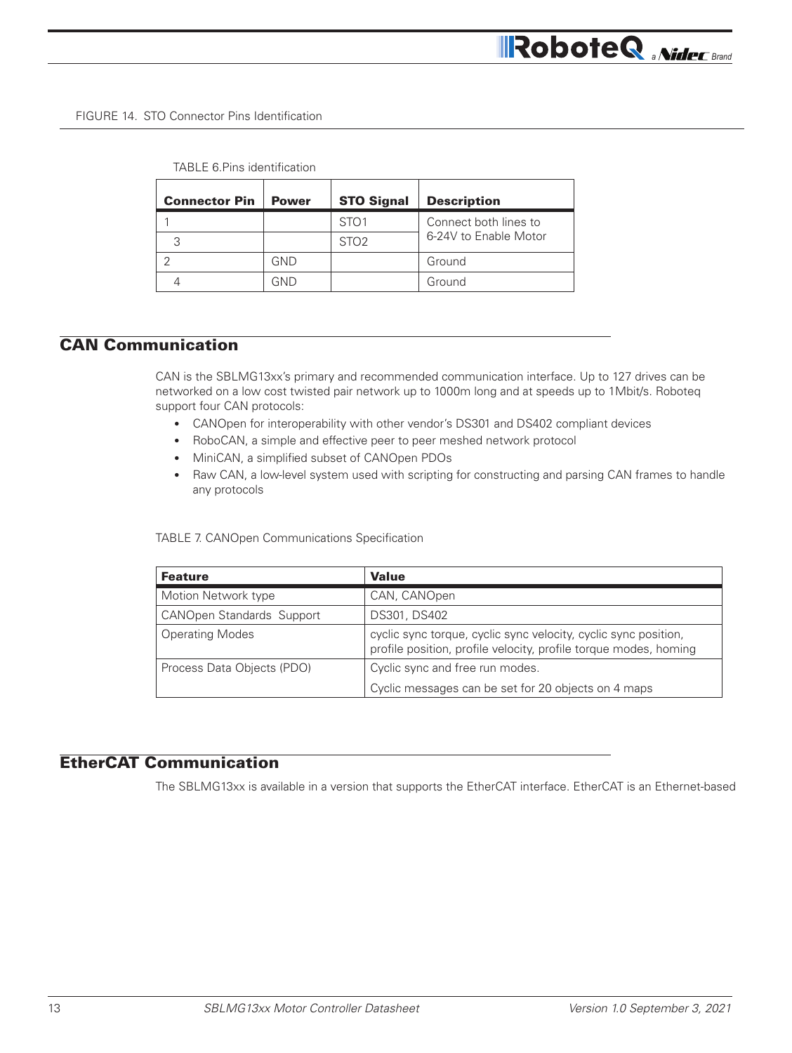#### FIGURE 14. STO Connector Pins Identification

| TABLE 6 Pins identification |  |
|-----------------------------|--|
|-----------------------------|--|

| <b>Connector Pin</b> | <b>Power</b> | <b>STO Signal</b> | <b>Description</b>    |
|----------------------|--------------|-------------------|-----------------------|
|                      |              | STO <sub>1</sub>  | Connect both lines to |
|                      |              | STO <sub>2</sub>  | 6-24V to Enable Motor |
|                      | GND          |                   | Ground                |
|                      | GND          |                   | Ground                |

## CAN Communication

CAN is the SBLMG13xx's primary and recommended communication interface. Up to 127 drives can be networked on a low cost twisted pair network up to 1000m long and at speeds up to 1Mbit/s. Roboteq support four CAN protocols:

- CANOpen for interoperability with other vendor's DS301 and DS402 compliant devices
- RoboCAN, a simple and effective peer to peer meshed network protocol
- MiniCAN, a simplified subset of CANOpen PDOs
- Raw CAN, a low-level system used with scripting for constructing and parsing CAN frames to handle any protocols

TABLE 7. CANOpen Communications Specification

| <b>Feature</b>                   | <b>Value</b>                                                                                                                        |
|----------------------------------|-------------------------------------------------------------------------------------------------------------------------------------|
| Motion Network type              | CAN, CANOpen                                                                                                                        |
| <b>CANOpen Standards Support</b> | DS301, DS402                                                                                                                        |
| <b>Operating Modes</b>           | cyclic sync torque, cyclic sync velocity, cyclic sync position,<br>profile position, profile velocity, profile torque modes, homing |
| Process Data Objects (PDO)       | Cyclic sync and free run modes.                                                                                                     |
|                                  | Cyclic messages can be set for 20 objects on 4 maps                                                                                 |

## EtherCAT Communication

The SBLMG13xx is available in a version that supports the EtherCAT interface. EtherCAT is an Ethernet-based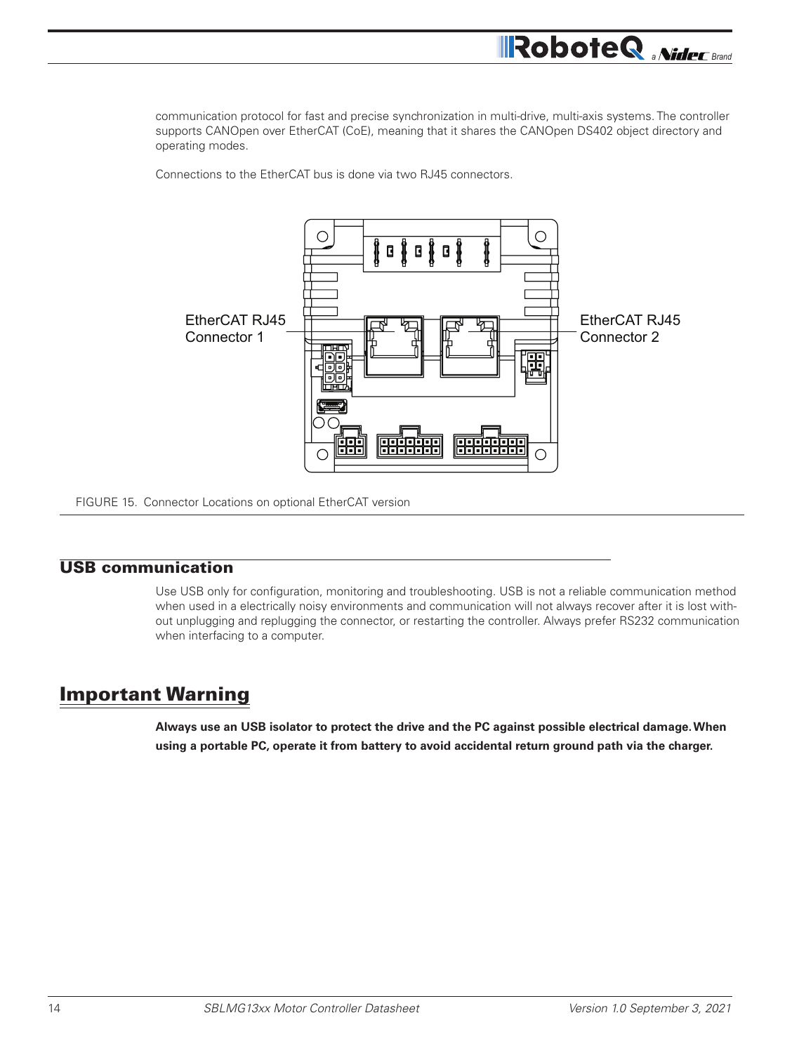communication protocol for fast and precise synchronization in multi-drive, multi-axis systems. The controller supports CANOpen over EtherCAT (CoE), meaning that it shares the CANOpen DS402 object directory and operating modes.

Connections to the EtherCAT bus is done via two RJ45 connectors.



FIGURE 15. Connector Locations on optional EtherCAT version

### USB communication

Use USB only for configuration, monitoring and troubleshooting. USB is not a reliable communication method when used in a electrically noisy environments and communication will not always recover after it is lost without unplugging and replugging the connector, or restarting the controller. Always prefer RS232 communication when interfacing to a computer.

## Important Warning

**Always use an USB isolator to protect the drive and the PC against possible electrical damage. When using a portable PC, operate it from battery to avoid accidental return ground path via the charger.**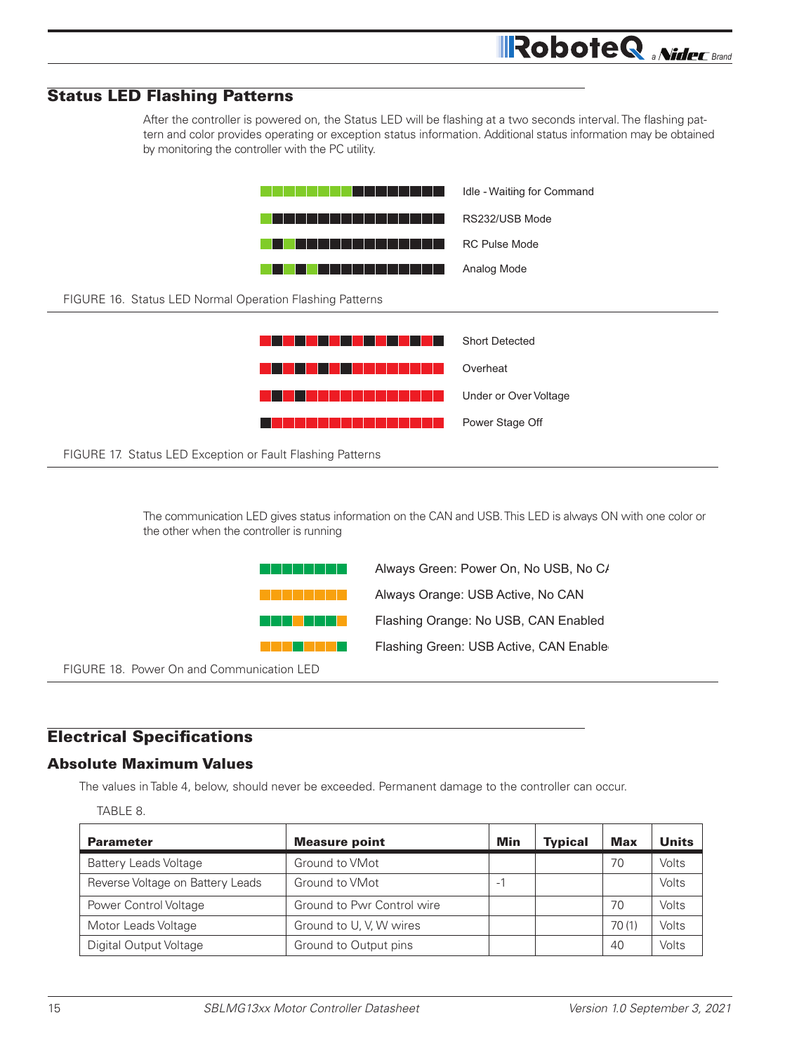

The communication LED gives status information on the CAN and USB. This LED is always ON with one color or the other when the controller is running



#### Electrical Specifications

#### Absolute Maximum Values

The values in Table 4, below, should never be exceeded. Permanent damage to the controller can occur.

TABLE 8.

| <b>Parameter</b>                 | <b>Measure point</b>       | Min                      | <b>Typical</b> | <b>Max</b> | <b>Units</b> |
|----------------------------------|----------------------------|--------------------------|----------------|------------|--------------|
| <b>Battery Leads Voltage</b>     | Ground to VMot             |                          |                | 70         | Volts        |
| Reverse Voltage on Battery Leads | Ground to VMot             | $\overline{\phantom{0}}$ |                |            | Volts        |
| Power Control Voltage            | Ground to Pwr Control wire |                          |                | 70         | Volts        |
| Motor Leads Voltage              | Ground to U, V, W wires    |                          |                | 70(1)      | <b>Volts</b> |
| Digital Output Voltage           | Ground to Output pins      |                          |                | 40         | Volts        |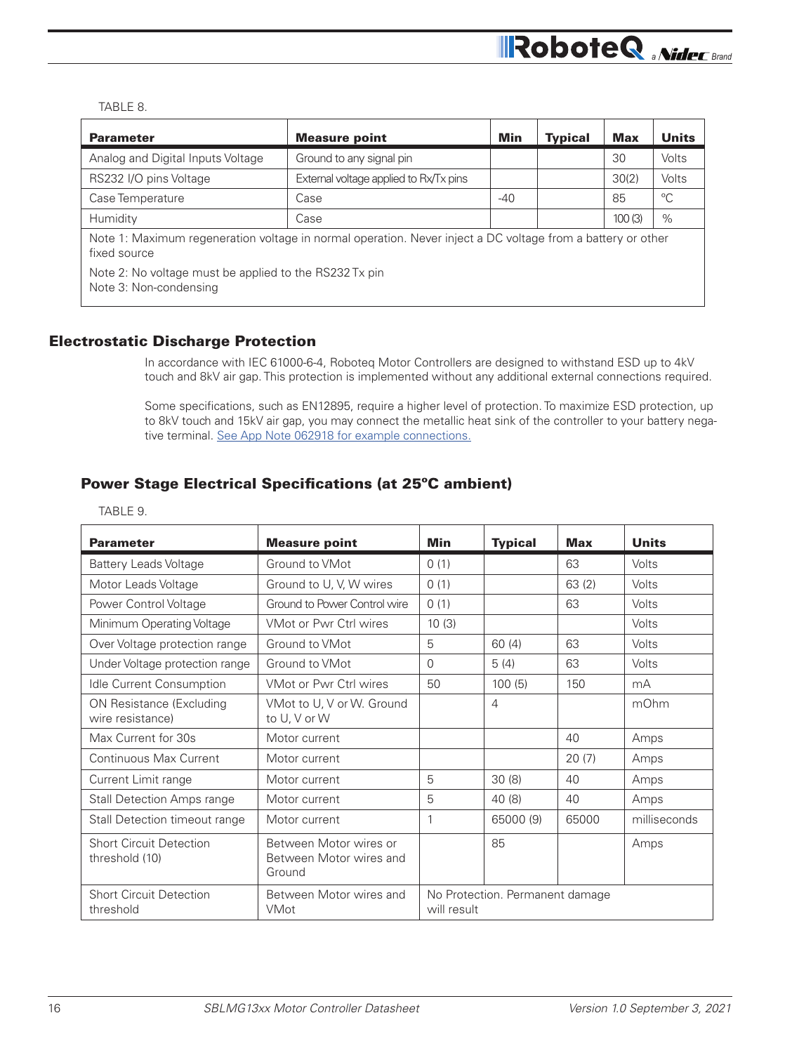#### TABLE 8.

| <b>Parameter</b>                                                                                                            | <b>Measure point</b>                   | <b>Min</b> | <b>Typical</b> | <b>Max</b> | <b>Units</b> |
|-----------------------------------------------------------------------------------------------------------------------------|----------------------------------------|------------|----------------|------------|--------------|
| Analog and Digital Inputs Voltage                                                                                           | Ground to any signal pin               |            |                | 30         | Volts        |
| RS232 I/O pins Voltage                                                                                                      | External voltage applied to Rx/Tx pins |            |                | 30(2)      | Volts        |
| Case Temperature                                                                                                            | Case                                   | $-40$      |                | 85         | $^{\circ}C$  |
| Humidity                                                                                                                    | Case                                   |            |                | 100(3)     | $\%$         |
| Note 1: Maximum regeneration voltage in normal operation. Never inject a DC voltage from a battery or other<br>fixed source |                                        |            |                |            |              |
| Note 2: No voltage must be applied to the RS232 Tx pin<br>Note 3: Non-condensing                                            |                                        |            |                |            |              |

#### Electrostatic Discharge Protection

In accordance with IEC 61000-6-4, Roboteq Motor Controllers are designed to withstand ESD up to 4kV touch and 8kV air gap. This protection is implemented without any additional external connections required.

Some specifications, such as EN12895, require a higher level of protection. To maximize ESD protection, up to 8kV touch and 15kV air gap, you may connect the metallic heat sink of the controller to your battery negative terminal. See App Note 062918 for example connections.

## Power Stage Electrical Specifications (at 25ºC ambient)

|--|--|

| <b>Parameter</b>                                    | <b>Measure point</b>                                        | Min                                            | <b>Typical</b> | <b>Max</b> | <b>Units</b> |  |
|-----------------------------------------------------|-------------------------------------------------------------|------------------------------------------------|----------------|------------|--------------|--|
| <b>Battery Leads Voltage</b>                        | Ground to VMot                                              | 0(1)                                           |                | 63         | Volts        |  |
| Motor Leads Voltage                                 | Ground to U, V, W wires                                     | 0(1)                                           |                | 63(2)      | Volts        |  |
| Power Control Voltage                               | Ground to Power Control wire                                | 0(1)                                           |                | 63         | Volts        |  |
| Minimum Operating Voltage                           | <b>VMot or Pwr Ctrl wires</b>                               | 10(3)                                          |                |            | Volts        |  |
| Over Voltage protection range                       | Ground to VMot                                              | 5                                              | 60(4)          | 63         | Volts        |  |
| Under Voltage protection range                      | Ground to VMot                                              | $\Omega$                                       | 5(4)           | 63         | Volts        |  |
| Idle Current Consumption                            | VMot or Pwr Ctrl wires                                      | 50                                             | 100(5)         | 150        | mA           |  |
| <b>ON Resistance (Excluding</b><br>wire resistance) | VMot to U, V or W. Ground<br>to U, V or W                   |                                                | $\overline{4}$ |            | mOhm         |  |
| Max Current for 30s                                 | Motor current                                               |                                                |                | 40         | Amps         |  |
| Continuous Max Current                              | Motor current                                               |                                                |                | 20(7)      | Amps         |  |
| Current Limit range                                 | Motor current                                               | 5                                              | 30(8)          | 40         | Amps         |  |
| <b>Stall Detection Amps range</b>                   | Motor current                                               | 5                                              | 40(8)          | 40         | Amps         |  |
| Stall Detection timeout range                       | Motor current                                               | 1                                              | 65000 (9)      | 65000      | milliseconds |  |
| <b>Short Circuit Detection</b><br>threshold (10)    | Between Motor wires or<br>Between Motor wires and<br>Ground |                                                | 85             |            | Amps         |  |
| <b>Short Circuit Detection</b><br>threshold         | Between Motor wires and<br>VMot                             | No Protection. Permanent damage<br>will result |                |            |              |  |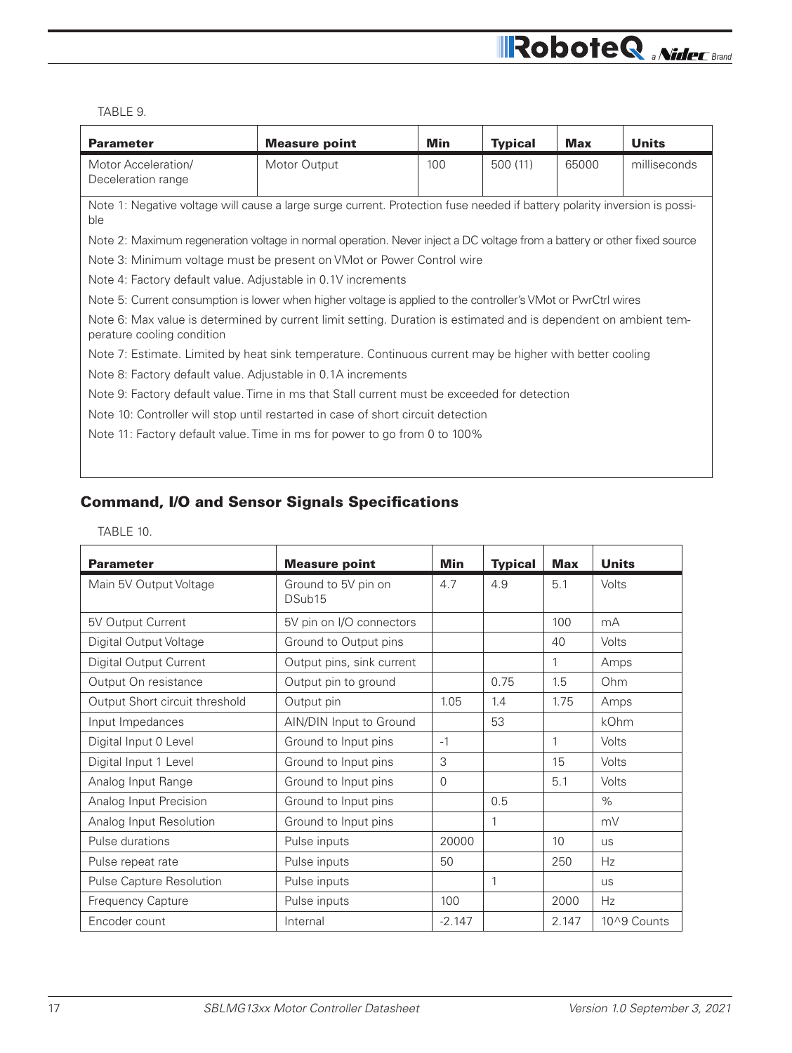## **All RoboteQ** *aNideC Brand*

#### TABLE 9.

| <b>Parameter</b>                                                                                                                               | <b>Measure point</b>                                                                                                      | Min | <b>Typical</b> | <b>Max</b> | <b>Units</b> |  |  |
|------------------------------------------------------------------------------------------------------------------------------------------------|---------------------------------------------------------------------------------------------------------------------------|-----|----------------|------------|--------------|--|--|
| Motor Acceleration/<br>Deceleration range                                                                                                      | Motor Output                                                                                                              | 100 | 500(11)        | 65000      | milliseconds |  |  |
| ble                                                                                                                                            | Note 1: Negative voltage will cause a large surge current. Protection fuse needed if battery polarity inversion is possi- |     |                |            |              |  |  |
| Note 2: Maximum regeneration voltage in normal operation. Never inject a DC voltage from a battery or other fixed source                       |                                                                                                                           |     |                |            |              |  |  |
| Note 3: Minimum voltage must be present on VMot or Power Control wire                                                                          |                                                                                                                           |     |                |            |              |  |  |
|                                                                                                                                                | Note 4: Factory default value. Adjustable in 0.1V increments                                                              |     |                |            |              |  |  |
| Note 5: Current consumption is lower when higher voltage is applied to the controller's VMot or PwrCtrl wires                                  |                                                                                                                           |     |                |            |              |  |  |
| Note 6: Max value is determined by current limit setting. Duration is estimated and is dependent on ambient tem-<br>perature cooling condition |                                                                                                                           |     |                |            |              |  |  |
| Note 7: Estimate. Limited by heat sink temperature. Continuous current may be higher with better cooling                                       |                                                                                                                           |     |                |            |              |  |  |
|                                                                                                                                                | Note 8: Factory default value. Adjustable in 0.1A increments                                                              |     |                |            |              |  |  |
| Note 9: Factory default value. Time in ms that Stall current must be exceeded for detection                                                    |                                                                                                                           |     |                |            |              |  |  |
| Note 10: Controller will stop until restarted in case of short circuit detection                                                               |                                                                                                                           |     |                |            |              |  |  |
| Note 11: Factory default value. Time in ms for power to go from 0 to 100%                                                                      |                                                                                                                           |     |                |            |              |  |  |
|                                                                                                                                                |                                                                                                                           |     |                |            |              |  |  |

## Command, I/O and Sensor Signals Specifications

#### TABLE 10.

| <b>Parameter</b>                | <b>Measure point</b>                      | Min      | <b>Typical</b> | Max             | <b>Units</b> |
|---------------------------------|-------------------------------------------|----------|----------------|-----------------|--------------|
| Main 5V Output Voltage          | Ground to 5V pin on<br>DSub <sub>15</sub> | 4.7      | 4.9            | 5.1             | Volts        |
| 5V Output Current               | 5V pin on I/O connectors                  |          |                | 100             | mA           |
| Digital Output Voltage          | Ground to Output pins                     |          |                | 40              | Volts        |
| Digital Output Current          | Output pins, sink current                 |          |                | 1               | Amps         |
| Output On resistance            | Output pin to ground                      |          | 0.75           | 1.5             | Ohm          |
| Output Short circuit threshold  | Output pin                                | 1.05     | 1.4            | 1.75            | Amps         |
| Input Impedances                | AIN/DIN Input to Ground                   |          | 53             |                 | kOhm         |
| Digital Input 0 Level           | Ground to Input pins                      | $-1$     |                | 1               | Volts        |
| Digital Input 1 Level           | Ground to Input pins                      | 3        |                | 15              | Volts        |
| Analog Input Range              | Ground to Input pins                      | $\Omega$ |                | 5.1             | Volts        |
| Analog Input Precision          | Ground to Input pins                      |          | 0.5            |                 | %            |
| Analog Input Resolution         | Ground to Input pins                      |          | 1              |                 | mV           |
| Pulse durations                 | Pulse inputs                              | 20000    |                | 10 <sup>1</sup> | <b>us</b>    |
| Pulse repeat rate               | Pulse inputs                              | 50       |                | 250             | Hz           |
| <b>Pulse Capture Resolution</b> | Pulse inputs                              |          | 1              |                 | <b>us</b>    |
| <b>Frequency Capture</b>        | Pulse inputs                              | 100      |                | 2000            | Hz           |
| Encoder count                   | Internal                                  | $-2.147$ |                | 2.147           | 10^9 Counts  |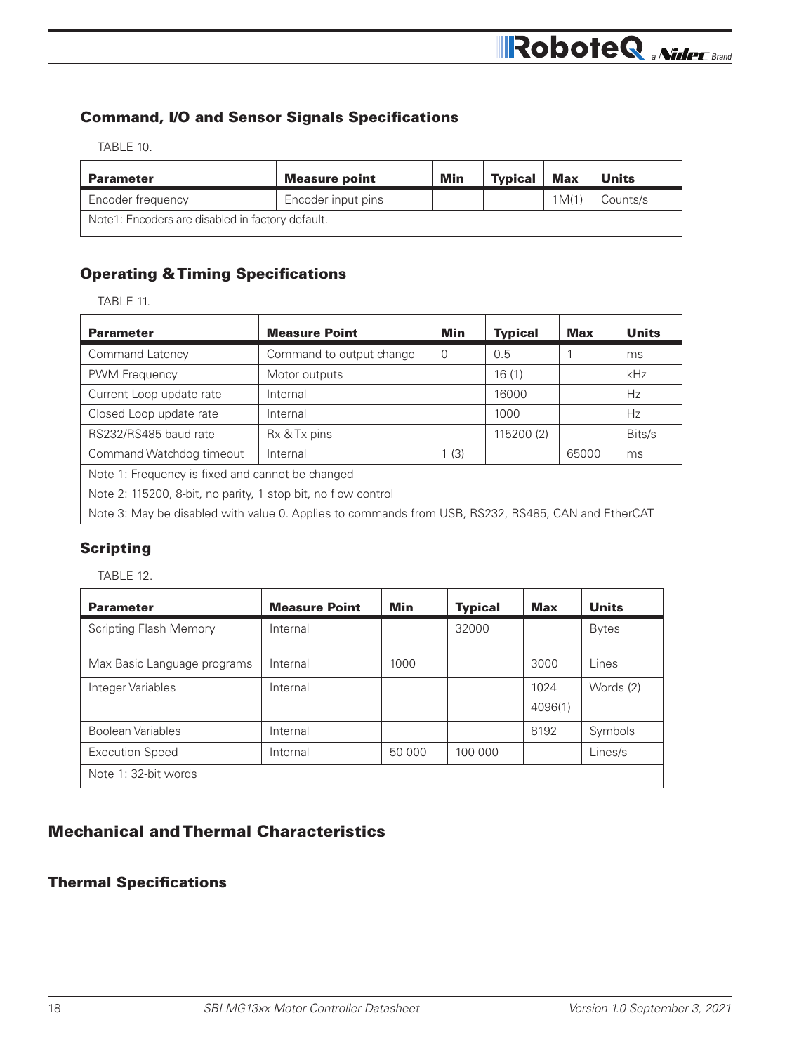## Command, I/O and Sensor Signals Specifications

TABLE 10.

| <b>Parameter</b>                                 | <b>Measure point</b> | Min | <b>Typical</b> | <b>Max</b> | <b>Units</b> |  |  |
|--------------------------------------------------|----------------------|-----|----------------|------------|--------------|--|--|
| Encoder frequency                                | Encoder input pins   |     |                | 1M(1)      | Counts/s     |  |  |
| Note1: Encoders are disabled in factory default. |                      |     |                |            |              |  |  |

## Operating & Timing Specifications

| <b>Parameter</b>                                                                                   | <b>Measure Point</b>     | <b>Min</b> | <b>Typical</b> | Max   | <b>Units</b> |  |  |
|----------------------------------------------------------------------------------------------------|--------------------------|------------|----------------|-------|--------------|--|--|
| Command Latency                                                                                    | Command to output change | 0          | 0.5            |       | ms.          |  |  |
| <b>PWM Frequency</b>                                                                               | Motor outputs            |            | 16(1)          |       | kHz          |  |  |
| Current Loop update rate                                                                           | Internal                 |            | 16000          |       | <b>Hz</b>    |  |  |
| Closed Loop update rate                                                                            | Internal                 |            | 1000           |       | Hz.          |  |  |
| RS232/RS485 baud rate                                                                              | Rx & Tx pins             |            | 115200 (2)     |       | Bits/s       |  |  |
| Command Watchdog timeout                                                                           | Internal                 | 1(3)       |                | 65000 | ms           |  |  |
| Note 1: Frequency is fixed and cannot be changed                                                   |                          |            |                |       |              |  |  |
| Note 2: 115200, 8-bit, no parity, 1 stop bit, no flow control                                      |                          |            |                |       |              |  |  |
| Note 3: May be disabled with value 0. Applies to commands from USB, RS232, RS485, CAN and EtherCAT |                          |            |                |       |              |  |  |

## Scripting

TABLE 12.

| <b>Parameter</b>              | <b>Measure Point</b> | Min    | <b>Typical</b> | <b>Max</b>      | <b>Units</b> |
|-------------------------------|----------------------|--------|----------------|-----------------|--------------|
| <b>Scripting Flash Memory</b> | Internal             |        | 32000          |                 | <b>Bytes</b> |
| Max Basic Language programs   | Internal             | 1000   |                | 3000            | Lines        |
| Integer Variables             | Internal             |        |                | 1024<br>4096(1) | Words (2)    |
| Boolean Variables             | Internal             |        |                | 8192            | Symbols      |
| <b>Execution Speed</b>        | Internal             | 50 000 | 100 000        |                 | Lines/s      |
| Note 1: 32-bit words          |                      |        |                |                 |              |

## Mechanical and Thermal Characteristics

## Thermal Specifications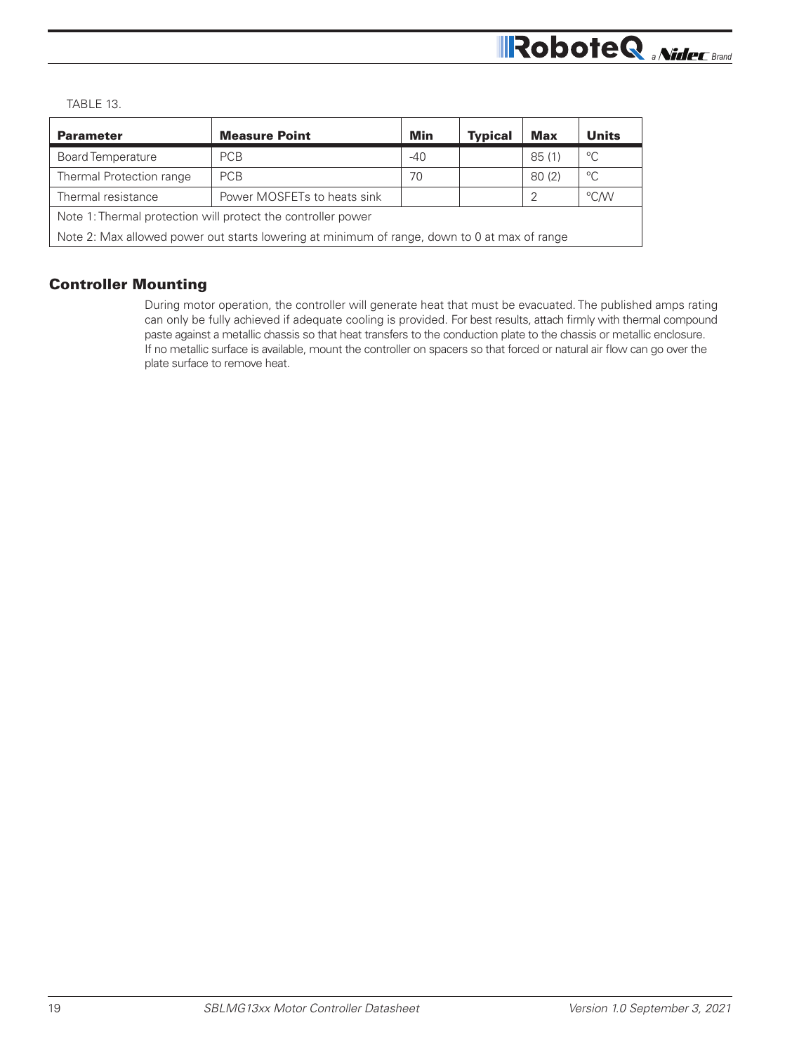## **RoboteQ** *MideC Brand*

TABLE 13.

| $-40$<br>70                                                                                  |  | 85(1) | $^{\circ}$ C |  |  |  |
|----------------------------------------------------------------------------------------------|--|-------|--------------|--|--|--|
|                                                                                              |  |       |              |  |  |  |
|                                                                                              |  | 80(2) | $^{\circ}C$  |  |  |  |
|                                                                                              |  |       | °C/W         |  |  |  |
| Note 1: Thermal protection will protect the controller power                                 |  |       |              |  |  |  |
| Note 2: Max allowed power out starts lowering at minimum of range, down to 0 at max of range |  |       |              |  |  |  |
| Thermal resistance<br>Power MOSFETs to heats sink                                            |  |       |              |  |  |  |

## Controller Mounting

During motor operation, the controller will generate heat that must be evacuated. The published amps rating can only be fully achieved if adequate cooling is provided. For best results, attach firmly with thermal compound paste against a metallic chassis so that heat transfers to the conduction plate to the chassis or metallic enclosure. If no metallic surface is available, mount the controller on spacers so that forced or natural air flow can go over the plate surface to remove heat.